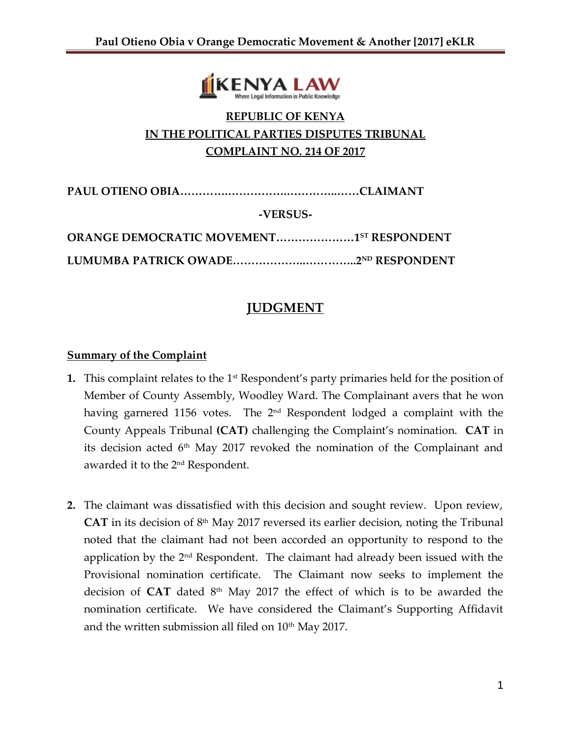

# **REPUBLIC OF KENYA IN THE POLITICAL PARTIES DISPUTES TRIBUNAL COMPLAINT NO. 214 OF 2017**

**PAUL OTIENO OBIA………….…………….…………..……CLAIMANT**

**-VERSUS-**

| <b>ORANGE DEMOCRATIC MOVEMENT15T RESPONDENT</b> |  |
|-------------------------------------------------|--|
|                                                 |  |

# **JUDGMENT**

#### **Summary of the Complaint**

- **1.** This complaint relates to the 1<sup>st</sup> Respondent's party primaries held for the position of Member of County Assembly, Woodley Ward. The Complainant avers that he won having garnered 1156 votes. The 2<sup>nd</sup> Respondent lodged a complaint with the County Appeals Tribunal **(CAT)** challenging the Complaint's nomination. **CAT** in its decision acted 6th May 2017 revoked the nomination of the Complainant and awarded it to the 2nd Respondent.
- **2.** The claimant was dissatisfied with this decision and sought review. Upon review, **CAT** in its decision of 8th May 2017 reversed its earlier decision, noting the Tribunal noted that the claimant had not been accorded an opportunity to respond to the application by the  $2<sup>nd</sup>$  Respondent. The claimant had already been issued with the Provisional nomination certificate. The Claimant now seeks to implement the decision of **CAT** dated 8<sup>th</sup> May 2017 the effect of which is to be awarded the nomination certificate. We have considered the Claimant's Supporting Affidavit and the written submission all filed on  $10<sup>th</sup>$  May 2017.